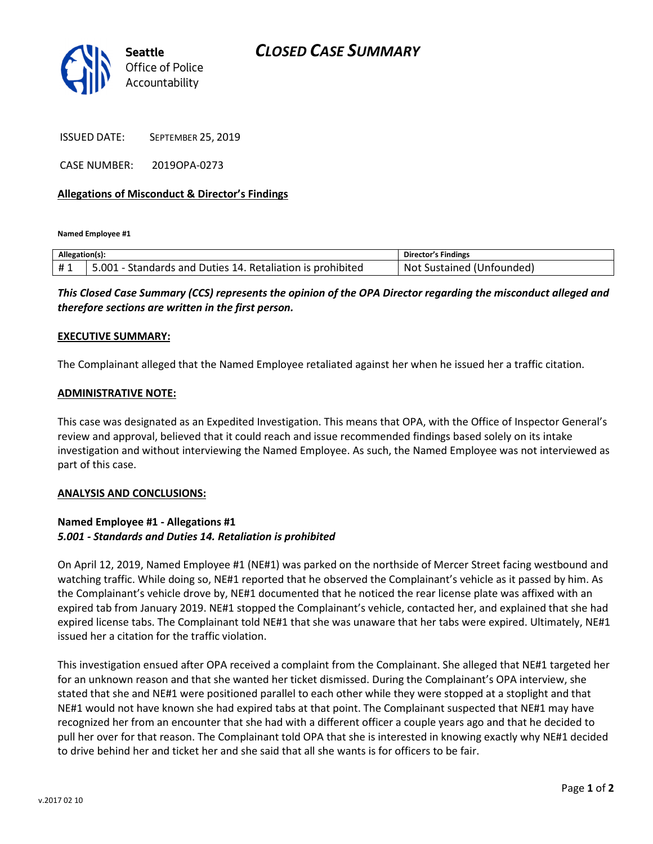

ISSUED DATE: SEPTEMBER 25, 2019

CASE NUMBER: 2019OPA-0273

## Allegations of Misconduct & Director's Findings

Named Employee #1

| Allegation(s): |                                                                | <b>Director's Findings</b>   |
|----------------|----------------------------------------------------------------|------------------------------|
| #1             | .001<br>I - Standards and Duties 14. Retaliation is prohibited | Not<br>Sustained (Unfounded) |

This Closed Case Summary (CCS) represents the opinion of the OPA Director regarding the misconduct alleged and therefore sections are written in the first person.

#### EXECUTIVE SUMMARY:

The Complainant alleged that the Named Employee retaliated against her when he issued her a traffic citation.

#### ADMINISTRATIVE NOTE:

This case was designated as an Expedited Investigation. This means that OPA, with the Office of Inspector General's review and approval, believed that it could reach and issue recommended findings based solely on its intake investigation and without interviewing the Named Employee. As such, the Named Employee was not interviewed as part of this case.

#### ANALYSIS AND CONCLUSIONS:

### Named Employee #1 - Allegations #1 5.001 - Standards and Duties 14. Retaliation is prohibited

On April 12, 2019, Named Employee #1 (NE#1) was parked on the northside of Mercer Street facing westbound and watching traffic. While doing so, NE#1 reported that he observed the Complainant's vehicle as it passed by him. As the Complainant's vehicle drove by, NE#1 documented that he noticed the rear license plate was affixed with an expired tab from January 2019. NE#1 stopped the Complainant's vehicle, contacted her, and explained that she had expired license tabs. The Complainant told NE#1 that she was unaware that her tabs were expired. Ultimately, NE#1 issued her a citation for the traffic violation.

This investigation ensued after OPA received a complaint from the Complainant. She alleged that NE#1 targeted her for an unknown reason and that she wanted her ticket dismissed. During the Complainant's OPA interview, she stated that she and NE#1 were positioned parallel to each other while they were stopped at a stoplight and that NE#1 would not have known she had expired tabs at that point. The Complainant suspected that NE#1 may have recognized her from an encounter that she had with a different officer a couple years ago and that he decided to pull her over for that reason. The Complainant told OPA that she is interested in knowing exactly why NE#1 decided to drive behind her and ticket her and she said that all she wants is for officers to be fair.